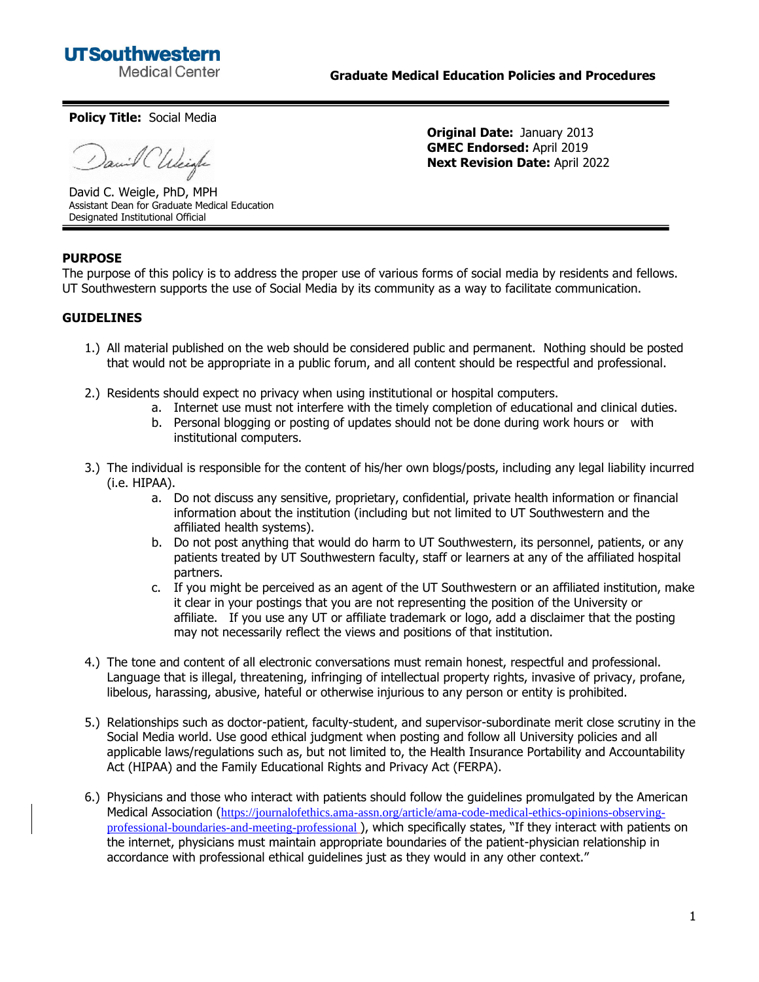

**Original Date:** January 2013 **GMEC Endorsed:** April 2019 **Next Revision Date:** April 2022

**Policy Title:** Social Media

in C'Uscigle

David C. Weigle, PhD, MPH Assistant Dean for Graduate Medical Education Designated Institutional Official

## **PURPOSE**

The purpose of this policy is to address the proper use of various forms of social media by residents and fellows. UT Southwestern supports the use of Social Media by its community as a way to facilitate communication.

## **GUIDELINES**

- 1.) All material published on the web should be considered public and permanent. Nothing should be posted that would not be appropriate in a public forum, and all content should be respectful and professional.
- 2.) Residents should expect no privacy when using institutional or hospital computers.
	- a. Internet use must not interfere with the timely completion of educational and clinical duties.
	- b. Personal blogging or posting of updates should not be done during work hours or with institutional computers.
- 3.) The individual is responsible for the content of his/her own blogs/posts, including any legal liability incurred (i.e. HIPAA).
	- a. Do not discuss any sensitive, proprietary, confidential, private health information or financial information about the institution (including but not limited to UT Southwestern and the affiliated health systems).
	- b. Do not post anything that would do harm to UT Southwestern, its personnel, patients, or any patients treated by UT Southwestern faculty, staff or learners at any of the affiliated hospital partners.
	- c. If you might be perceived as an agent of the UT Southwestern or an affiliated institution, make it clear in your postings that you are not representing the position of the University or affiliate. If you use any UT or affiliate trademark or logo, add a disclaimer that the posting may not necessarily reflect the views and positions of that institution.
- 4.) The tone and content of all electronic conversations must remain honest, respectful and professional. Language that is illegal, threatening, infringing of intellectual property rights, invasive of privacy, profane, libelous, harassing, abusive, hateful or otherwise injurious to any person or entity is prohibited.
- 5.) Relationships such as doctor-patient, faculty-student, and supervisor-subordinate merit close scrutiny in the Social Media world. Use good ethical judgment when posting and follow all University policies and all applicable laws/regulations such as, but not limited to, the Health Insurance Portability and Accountability Act (HIPAA) and the Family Educational Rights and Privacy Act (FERPA).
- 6.) Physicians and those who interact with patients should follow the guidelines promulgated by the American Medical Association ([https://journalofethics.ama-assn.org/article/ama-code-medical-ethics-opinions-observing](https://journalofethics.ama-assn.org/article/ama-code-medical-ethics-opinions-observing-professional-boundaries-and-meeting-professional)[professional-boundaries-and-meeting-professional](https://journalofethics.ama-assn.org/article/ama-code-medical-ethics-opinions-observing-professional-boundaries-and-meeting-professional) ), which specifically states, "If they interact with patients on the internet, physicians must maintain appropriate boundaries of the patient-physician relationship in accordance with professional ethical guidelines just as they would in any other context."